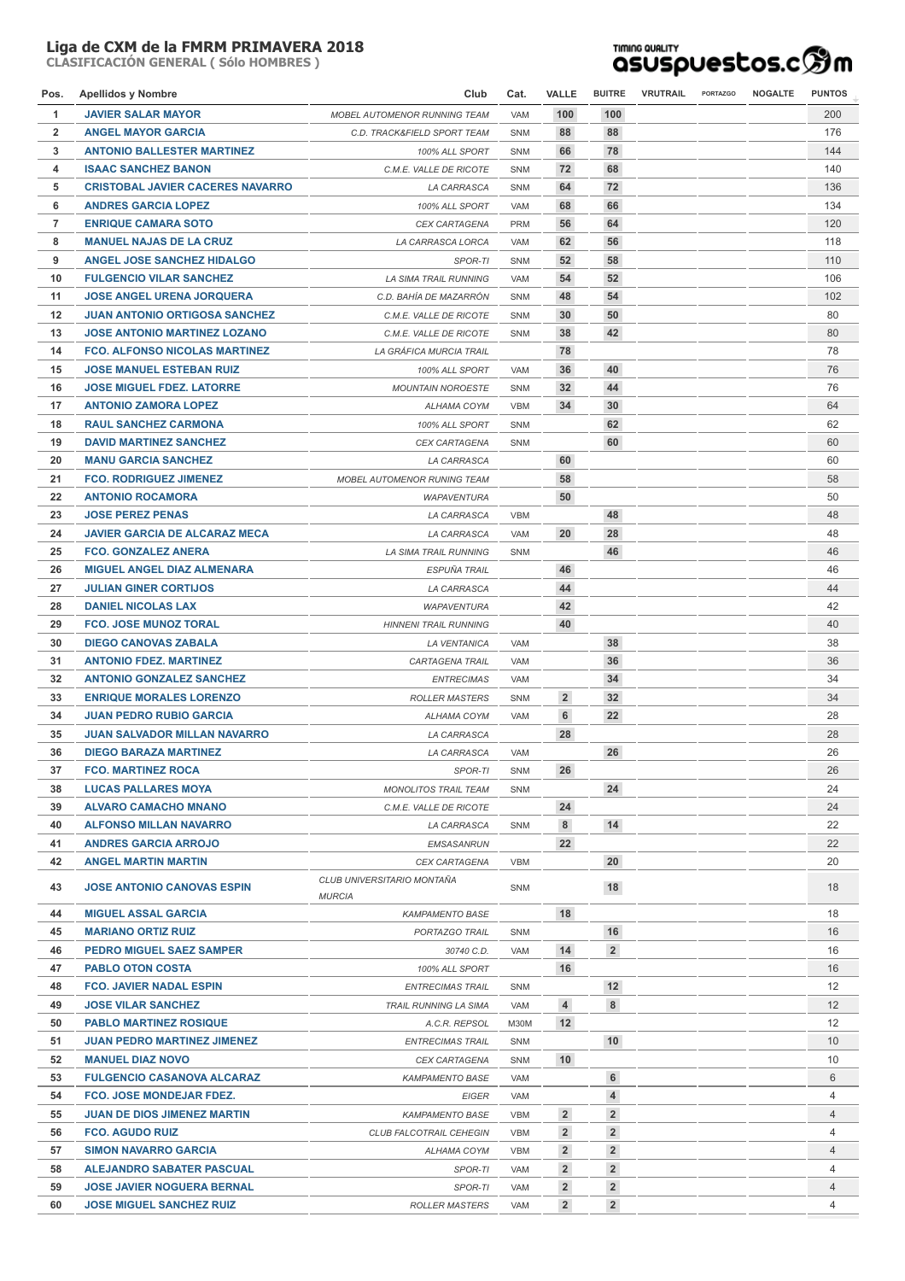## **Liga de CXM de la FMRM PRIMAVERA 2018**

**CLASIFICACIÓN GENERAL ( Sólo HOMBRES )**

## **TIMING QUALITY**<br>QSUSpuestos.c<sup>6</sup>m

| Pos.           | <b>Apellidos y Nombre</b>               | Club                                        | Cat.       | <b>VALLE</b>    | <b>BUITRE</b>   | VRUTRAIL | <b>PORTAZGO</b> | <b>NOGALTE</b> | <b>PUNTOS</b> |  |
|----------------|-----------------------------------------|---------------------------------------------|------------|-----------------|-----------------|----------|-----------------|----------------|---------------|--|
| 1              | <b>JAVIER SALAR MAYOR</b>               | <b>MOBEL AUTOMENOR RUNNING TEAM</b>         | <b>VAM</b> | 100             | 100             |          |                 |                | 200           |  |
| $\overline{2}$ | <b>ANGEL MAYOR GARCIA</b>               | C.D. TRACK&FIELD SPORT TEAM                 | SNM        | 88              | 88              |          |                 |                | 176           |  |
| 3              | <b>ANTONIO BALLESTER MARTINEZ</b>       | 100% ALL SPORT                              | <b>SNM</b> | 66              | 78              |          |                 |                | 144           |  |
| 4              | <b>ISAAC SANCHEZ BANON</b>              | C.M.E. VALLE DE RICOTE                      | SNM        | 72              | 68              |          |                 |                | 140           |  |
| 5              | <b>CRISTOBAL JAVIER CACERES NAVARRO</b> | LA CARRASCA                                 | <b>SNM</b> | 64              | 72              |          |                 |                | 136           |  |
| 6              | <b>ANDRES GARCIA LOPEZ</b>              | 100% ALL SPORT                              | VAM        | 68              | 66              |          |                 |                | 134           |  |
| $\overline{7}$ | <b>ENRIQUE CAMARA SOTO</b>              | <b>CEX CARTAGENA</b>                        | <b>PRM</b> | 56              | 64              |          |                 |                | 120           |  |
| 8              | <b>MANUEL NAJAS DE LA CRUZ</b>          | LA CARRASCA LORCA                           | <b>VAM</b> | 62              | 56              |          |                 |                | 118           |  |
| 9              | <b>ANGEL JOSE SANCHEZ HIDALGO</b>       | SPOR-TI                                     | <b>SNM</b> | 52              | 58              |          |                 |                | 110           |  |
| 10             | <b>FULGENCIO VILAR SANCHEZ</b>          | <b>LA SIMA TRAIL RUNNING</b>                | <b>VAM</b> | 54              | 52              |          |                 |                | 106           |  |
| 11             | <b>JOSE ANGEL URENA JORQUERA</b>        | C.D. BAHÍA DE MAZARRÓN                      | <b>SNM</b> | 48              | 54              |          |                 |                | 102           |  |
| 12             | <b>JUAN ANTONIO ORTIGOSA SANCHEZ</b>    | C.M.E. VALLE DE RICOTE                      | SNM        | 30              | 50              |          |                 |                | 80            |  |
| 13             | <b>JOSE ANTONIO MARTINEZ LOZANO</b>     | C.M.E. VALLE DE RICOTE                      | <b>SNM</b> | 38              | 42              |          |                 |                | 80            |  |
| 14             | <b>FCO. ALFONSO NICOLAS MARTINEZ</b>    | LA GRÁFICA MURCIA TRAIL                     |            | 78              |                 |          |                 |                | 78            |  |
| 15             | <b>JOSE MANUEL ESTEBAN RUIZ</b>         | 100% ALL SPORT                              | <b>VAM</b> | 36              | 40              |          |                 |                | 76            |  |
| 16             | <b>JOSE MIGUEL FDEZ. LATORRE</b>        | <b>MOUNTAIN NOROESTE</b>                    | <b>SNM</b> | 32              | 44              |          |                 |                | 76            |  |
| 17             | <b>ANTONIO ZAMORA LOPEZ</b>             | ALHAMA COYM                                 | <b>VBM</b> | 34              | 30              |          |                 |                | 64            |  |
| 18             | <b>RAUL SANCHEZ CARMONA</b>             | 100% ALL SPORT                              | SNM        |                 | 62              |          |                 |                | 62            |  |
| 19             | <b>DAVID MARTINEZ SANCHEZ</b>           | <b>CEX CARTAGENA</b>                        | <b>SNM</b> |                 | 60              |          |                 |                | 60            |  |
| 20             | <b>MANU GARCIA SANCHEZ</b>              | LA CARRASCA                                 |            | 60              |                 |          |                 |                | 60            |  |
| 21             | <b>FCO. RODRIGUEZ JIMENEZ</b>           | <b>MOBEL AUTOMENOR RUNING TEAM</b>          |            | 58              |                 |          |                 |                | 58            |  |
| 22             | <b>ANTONIO ROCAMORA</b>                 | <b>WAPAVENTURA</b>                          |            | 50              |                 |          |                 |                | 50            |  |
| 23             | <b>JOSE PEREZ PENAS</b>                 | LA CARRASCA                                 | <b>VBM</b> |                 | 48              |          |                 |                | 48            |  |
| 24             | <b>JAVIER GARCIA DE ALCARAZ MECA</b>    | LA CARRASCA                                 | VAM        | 20              | 28              |          |                 |                | 48            |  |
| 25             | <b>FCO. GONZALEZ ANERA</b>              | <b>LA SIMA TRAIL RUNNING</b>                | <b>SNM</b> |                 | 46              |          |                 |                | 46            |  |
| 26             | <b>MIGUEL ANGEL DIAZ ALMENARA</b>       | ESPUÑA TRAIL                                |            | 46              |                 |          |                 |                | 46            |  |
| 27             | <b>JULIAN GINER CORTIJOS</b>            | LA CARRASCA                                 |            | 44              |                 |          |                 |                | 44            |  |
| 28             | <b>DANIEL NICOLAS LAX</b>               | <b>WAPAVENTURA</b>                          |            | 42              |                 |          |                 |                | 42            |  |
| 29             | <b>FCO. JOSE MUNOZ TORAL</b>            | <b>HINNENI TRAIL RUNNING</b>                |            | 40              |                 |          |                 |                | 40            |  |
| 30             | <b>DIEGO CANOVAS ZABALA</b>             | <b>LA VENTANICA</b>                         | VAM        |                 | 38              |          |                 |                | 38            |  |
| 31             | <b>ANTONIO FDEZ. MARTINEZ</b>           | CARTAGENA TRAIL                             | VAM        |                 | 36              |          |                 |                | 36            |  |
| 32             | <b>ANTONIO GONZALEZ SANCHEZ</b>         | <b>ENTRECIMAS</b>                           | VAM        |                 | 34              |          |                 |                | 34            |  |
| 33             | <b>ENRIQUE MORALES LORENZO</b>          | <b>ROLLER MASTERS</b>                       | <b>SNM</b> | $\overline{2}$  | 32              |          |                 |                | 34            |  |
| 34             | <b>JUAN PEDRO RUBIO GARCIA</b>          | ALHAMA COYM                                 | VAM        | 6               | 22              |          |                 |                | 28            |  |
| 35             | <b>JUAN SALVADOR MILLAN NAVARRO</b>     | LA CARRASCA                                 |            | 28              |                 |          |                 |                | 28            |  |
| 36             | <b>DIEGO BARAZA MARTINEZ</b>            | LA CARRASCA                                 | VAM        |                 | 26              |          |                 |                | 26            |  |
| 37             | <b>FCO. MARTINEZ ROCA</b>               | SPOR-TI                                     | SNM        | 26              |                 |          |                 |                | 26            |  |
| 38             | <b>LUCAS PALLARES MOYA</b>              | <b>MONOLITOS TRAIL TEAM</b>                 | SNM        |                 | 24              |          |                 |                | 24            |  |
| 39             | <b>ALVARO CAMACHO MNANO</b>             | C.M.E. VALLE DE RICOTE                      |            | 24              |                 |          |                 |                | 24            |  |
| 40             | <b>ALFONSO MILLAN NAVARRO</b>           | LA CARRASCA                                 | <b>SNM</b> | 8               | 14              |          |                 |                | 22            |  |
| 41             | <b>ANDRES GARCIA ARROJO</b>             | <b>EMSASANRUN</b>                           |            | 22              |                 |          |                 |                | 22            |  |
| 42             | <b>ANGEL MARTIN MARTIN</b>              | <b>CEX CARTAGENA</b>                        | <b>VBM</b> |                 | 20              |          |                 |                | 20            |  |
| 43             | <b>JOSE ANTONIO CANOVAS ESPIN</b>       | CLUB UNIVERSITARIO MONTAÑA<br><b>MURCIA</b> | SNM        |                 | 18              |          |                 |                | 18            |  |
| 44             | <b>MIGUEL ASSAL GARCIA</b>              | <b>KAMPAMENTO BASE</b>                      |            | 18              |                 |          |                 |                | 18            |  |
| 45             | <b>MARIANO ORTIZ RUIZ</b>               | PORTAZGO TRAIL                              | <b>SNM</b> |                 | 16              |          |                 |                | 16            |  |
| 46             | <b>PEDRO MIGUEL SAEZ SAMPER</b>         | 30740 C.D.                                  | VAM        | 14              | $\overline{2}$  |          |                 |                | 16            |  |
| 47             | <b>PABLO OTON COSTA</b>                 | 100% ALL SPORT                              |            | 16              |                 |          |                 |                | 16            |  |
| 48             | <b>FCO. JAVIER NADAL ESPIN</b>          | <b>ENTRECIMAS TRAIL</b>                     | <b>SNM</b> |                 | 12              |          |                 |                | 12            |  |
| 49             | <b>JOSE VILAR SANCHEZ</b>               | <b>TRAIL RUNNING LA SIMA</b>                | VAM        | 4               | 8               |          |                 |                | 12            |  |
| 50             | <b>PABLO MARTINEZ ROSIQUE</b>           | A.C.R. REPSOL                               | M30M       | 12              |                 |          |                 |                | 12            |  |
| 51             | <b>JUAN PEDRO MARTINEZ JIMENEZ</b>      | <b>ENTRECIMAS TRAIL</b>                     | <b>SNM</b> |                 | 10 <sup>°</sup> |          |                 |                | 10            |  |
| 52             | <b>MANUEL DIAZ NOVO</b>                 | CEX CARTAGENA                               | <b>SNM</b> | 10              |                 |          |                 |                | 10            |  |
| 53             | <b>FULGENCIO CASANOVA ALCARAZ</b>       | <b>KAMPAMENTO BASE</b>                      | VAM        |                 | 6               |          |                 |                | 6             |  |
| 54             | <b>FCO. JOSE MONDEJAR FDEZ.</b>         | EIGER                                       | VAM        |                 | 4               |          |                 |                | 4             |  |
| 55             | <b>JUAN DE DIOS JIMENEZ MARTIN</b>      | <b>KAMPAMENTO BASE</b>                      | <b>VBM</b> | $\overline{2}$  | $\overline{2}$  |          |                 |                | 4             |  |
| 56             | <b>FCO. AGUDO RUIZ</b>                  | CLUB FALCOTRAIL CEHEGIN                     | <b>VBM</b> | $\overline{2}$  | $\overline{2}$  |          |                 |                | 4             |  |
| 57             | <b>SIMON NAVARRO GARCIA</b>             | ALHAMA COYM                                 | <b>VBM</b> | $\overline{2}$  | $\overline{2}$  |          |                 |                | 4             |  |
| 58             | <b>ALEJANDRO SABATER PASCUAL</b>        | SPOR-TI                                     | VAM        | $\overline{2}$  | $\overline{2}$  |          |                 |                | 4             |  |
| 59             | <b>JOSE JAVIER NOGUERA BERNAL</b>       | SPOR-TI                                     | VAM        | $2\overline{ }$ | $\overline{2}$  |          |                 |                | 4             |  |
| 60             | <b>JOSE MIGUEL SANCHEZ RUIZ</b>         | <b>ROLLER MASTERS</b>                       | VAM        | $\overline{2}$  | $\overline{2}$  |          |                 |                | 4             |  |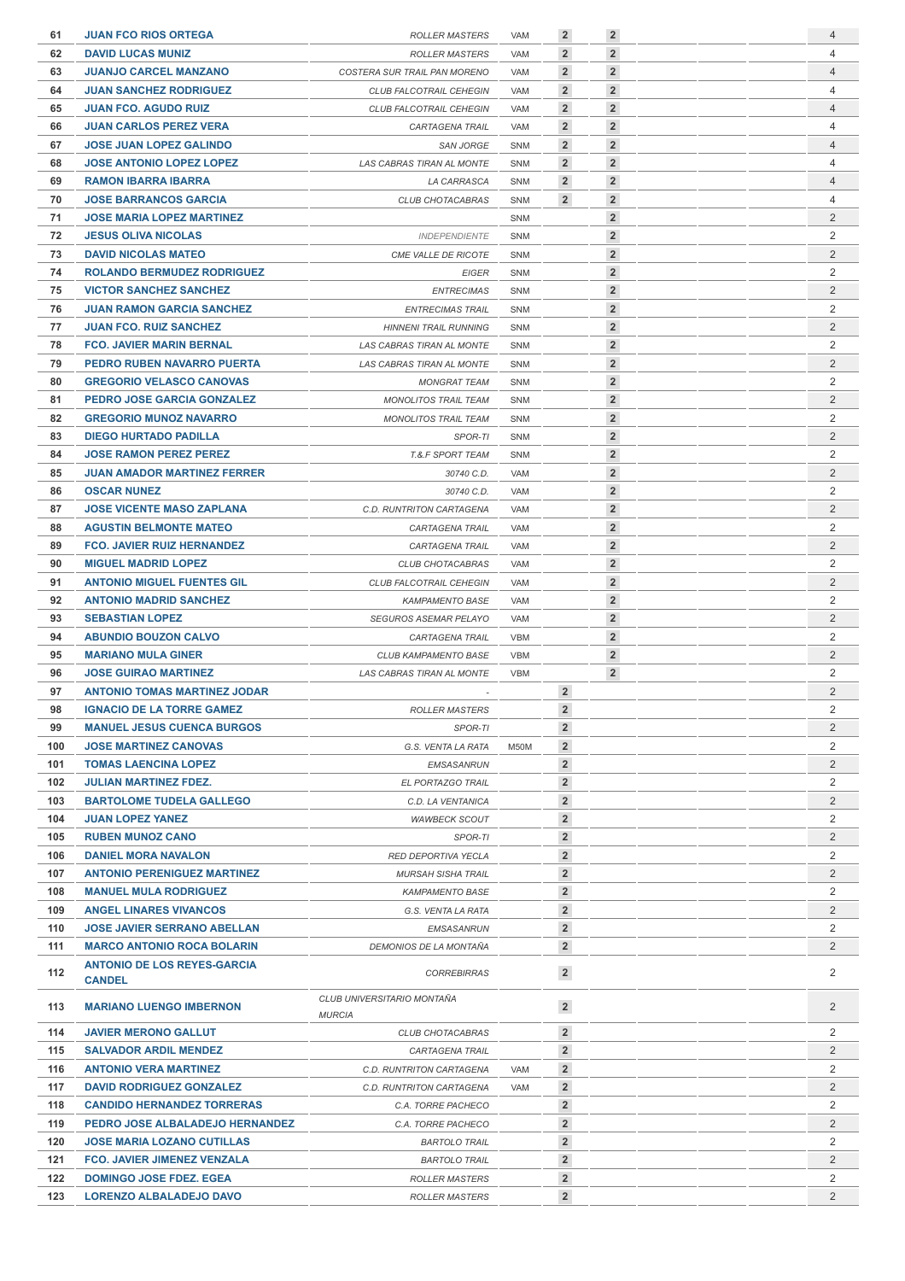| 61  | <b>JUAN FCO RIOS ORTEGA</b>         | <b>ROLLER MASTERS</b>                       | VAM        | $\overline{2}$ | $\overline{2}$ |  | $\overline{4}$ |
|-----|-------------------------------------|---------------------------------------------|------------|----------------|----------------|--|----------------|
| 62  | <b>DAVID LUCAS MUNIZ</b>            | <b>ROLLER MASTERS</b>                       | VAM        | $\overline{2}$ | $\overline{2}$ |  | $\overline{4}$ |
| 63  | <b>JUANJO CARCEL MANZANO</b>        | COSTERA SUR TRAIL PAN MORENO                | <b>VAM</b> | $\overline{2}$ | $\overline{2}$ |  | $\overline{4}$ |
| 64  | <b>JUAN SANCHEZ RODRIGUEZ</b>       | CLUB FALCOTRAIL CEHEGIN                     | VAM        | $\overline{2}$ | $\overline{2}$ |  | 4              |
| 65  | <b>JUAN FCO, AGUDO RUIZ</b>         | CLUB FALCOTRAIL CEHEGIN                     | <b>VAM</b> | $\overline{2}$ | $\overline{2}$ |  | $\overline{4}$ |
| 66  | <b>JUAN CARLOS PEREZ VERA</b>       | CARTAGENA TRAIL                             | VAM        | $\overline{2}$ | $\overline{2}$ |  | 4              |
| 67  | <b>JOSE JUAN LOPEZ GALINDO</b>      | <b>SAN JORGE</b>                            | SNM        | $\overline{2}$ | $\overline{2}$ |  | $\overline{4}$ |
| 68  | <b>JOSE ANTONIO LOPEZ LOPEZ</b>     | LAS CABRAS TIRAN AL MONTE                   | SNM        | $\overline{2}$ | $\overline{2}$ |  | 4              |
| 69  | <b>RAMON IBARRA IBARRA</b>          | <b>LA CARRASCA</b>                          | SNM        | $\overline{2}$ | $\overline{2}$ |  | $\overline{4}$ |
| 70  | <b>JOSE BARRANCOS GARCIA</b>        | CLUB CHOTACABRAS                            | <b>SNM</b> | $\overline{2}$ | $\overline{2}$ |  | $\overline{4}$ |
| 71  | <b>JOSE MARIA LOPEZ MARTINEZ</b>    |                                             | <b>SNM</b> |                | $\overline{2}$ |  | $\overline{2}$ |
| 72  | <b>JESUS OLIVA NICOLAS</b>          | <b>INDEPENDIENTE</b>                        | SNM        |                | $\overline{2}$ |  | $\overline{2}$ |
| 73  | <b>DAVID NICOLAS MATEO</b>          | CME VALLE DE RICOTE                         | <b>SNM</b> |                | $\overline{2}$ |  | $\overline{2}$ |
|     |                                     |                                             |            |                | $\overline{2}$ |  | $\overline{2}$ |
| 74  | <b>ROLANDO BERMUDEZ RODRIGUEZ</b>   | <b>EIGER</b>                                | <b>SNM</b> |                |                |  | $\overline{2}$ |
| 75  | <b>VICTOR SANCHEZ SANCHEZ</b>       | <b>ENTRECIMAS</b>                           | <b>SNM</b> |                | $\overline{2}$ |  |                |
| 76  | <b>JUAN RAMON GARCIA SANCHEZ</b>    | <b>ENTRECIMAS TRAIL</b>                     | <b>SNM</b> |                | $\overline{2}$ |  | $\overline{2}$ |
| 77  | <b>JUAN FCO. RUIZ SANCHEZ</b>       | <b>HINNENI TRAIL RUNNING</b>                | SNM        |                | $\overline{2}$ |  | $\overline{c}$ |
| 78  | <b>FCO. JAVIER MARIN BERNAL</b>     | LAS CABRAS TIRAN AL MONTE                   | <b>SNM</b> |                | $\overline{2}$ |  | $\overline{2}$ |
| 79  | PEDRO RUBEN NAVARRO PUERTA          | LAS CABRAS TIRAN AL MONTE                   | SNM        |                | $\overline{2}$ |  | $\overline{2}$ |
| 80  | <b>GREGORIO VELASCO CANOVAS</b>     | <b>MONGRAT TEAM</b>                         | <b>SNM</b> |                | $\overline{2}$ |  | $\overline{2}$ |
| 81  | PEDRO JOSE GARCIA GONZALEZ          | <b>MONOLITOS TRAIL TEAM</b>                 | <b>SNM</b> |                | $\overline{2}$ |  | $\overline{2}$ |
| 82  | <b>GREGORIO MUNOZ NAVARRO</b>       | <b>MONOLITOS TRAIL TEAM</b>                 | <b>SNM</b> |                | $\overline{2}$ |  | $\overline{2}$ |
| 83  | <b>DIEGO HURTADO PADILLA</b>        | SPOR-TI                                     | <b>SNM</b> |                | $\overline{2}$ |  | $\overline{2}$ |
| 84  | <b>JOSE RAMON PEREZ PEREZ</b>       | <b>T.&amp;.F SPORT TEAM</b>                 | <b>SNM</b> |                | $\overline{2}$ |  | $\overline{2}$ |
| 85  | <b>JUAN AMADOR MARTINEZ FERRER</b>  | 30740 C.D.                                  | <b>VAM</b> |                | $\overline{2}$ |  | $\overline{2}$ |
| 86  | <b>OSCAR NUNEZ</b>                  | 30740 C.D.                                  | <b>VAM</b> |                | $\overline{2}$ |  | $\overline{2}$ |
| 87  | <b>JOSE VICENTE MASO ZAPLANA</b>    | C.D. RUNTRITON CARTAGENA                    | <b>VAM</b> |                | $\overline{2}$ |  | $\overline{2}$ |
| 88  | <b>AGUSTIN BELMONTE MATEO</b>       | CARTAGENA TRAIL                             | <b>VAM</b> |                | $\overline{2}$ |  | $\overline{2}$ |
| 89  | <b>FCO. JAVIER RUIZ HERNANDEZ</b>   | CARTAGENA TRAIL                             | <b>VAM</b> |                | $\overline{2}$ |  | $\overline{c}$ |
| 90  | <b>MIGUEL MADRID LOPEZ</b>          | CLUB CHOTACABRAS                            | <b>VAM</b> |                | $\overline{2}$ |  | $\overline{2}$ |
| 91  | <b>ANTONIO MIGUEL FUENTES GIL</b>   | CLUB FALCOTRAIL CEHEGIN                     | <b>VAM</b> |                | $\overline{2}$ |  | $\overline{2}$ |
| 92  | <b>ANTONIO MADRID SANCHEZ</b>       | <b>KAMPAMENTO BASE</b>                      | <b>VAM</b> |                | $\overline{2}$ |  | $\overline{2}$ |
| 93  | <b>SEBASTIAN LOPEZ</b>              | <b>SEGUROS ASEMAR PELAYO</b>                | <b>VAM</b> |                | $\overline{2}$ |  | $\overline{2}$ |
|     |                                     |                                             |            |                | $\overline{2}$ |  |                |
| 94  | <b>ABUNDIO BOUZON CALVO</b>         | CARTAGENA TRAIL                             | <b>VBM</b> |                |                |  | $\overline{2}$ |
| 95  | <b>MARIANO MULA GINER</b>           | CLUB KAMPAMENTO BASE                        | <b>VBM</b> |                | $\overline{2}$ |  | $\overline{2}$ |
| 96  | <b>JOSE GUIRAO MARTINEZ</b>         | LAS CABRAS TIRAN AL MONTE                   | <b>VBM</b> |                | $\overline{2}$ |  | $\overline{2}$ |
| 97  | <b>ANTONIO TOMAS MARTINEZ JODAR</b> |                                             |            | $\overline{2}$ |                |  | $\overline{2}$ |
| 98  | <b>IGNACIO DE LA TORRE GAMEZ</b>    | ROLLER MASTERS                              |            | $\mathbf 2$    |                |  | 2              |
| 99  | <b>MANUEL JESUS CUENCA BURGOS</b>   | SPOR-TI                                     |            | $\overline{2}$ |                |  | $\overline{2}$ |
| 100 | <b>JOSE MARTINEZ CANOVAS</b>        | G.S. VENTA LA RATA                          | M50M       | $\overline{2}$ |                |  | 2              |
| 101 | <b>TOMAS LAENCINA LOPEZ</b>         | <b>EMSASANRUN</b>                           |            | $\overline{2}$ |                |  | $\overline{2}$ |
| 102 | <b>JULIAN MARTINEZ FDEZ.</b>        | EL PORTAZGO TRAIL                           |            | $\overline{2}$ |                |  | 2              |
| 103 | <b>BARTOLOME TUDELA GALLEGO</b>     | C.D. LA VENTANICA                           |            | $\overline{2}$ |                |  | $\overline{2}$ |
| 104 | <b>JUAN LOPEZ YANEZ</b>             | <b>WAWBECK SCOUT</b>                        |            | $\overline{2}$ |                |  | 2              |
| 105 | <b>RUBEN MUNOZ CANO</b>             | SPOR-TI                                     |            | $\overline{2}$ |                |  | $\overline{2}$ |
| 106 | <b>DANIEL MORA NAVALON</b>          | RED DEPORTIVA YECLA                         |            | $\overline{2}$ |                |  | $\overline{2}$ |
| 107 | <b>ANTONIO PERENIGUEZ MARTINEZ</b>  | <b>MURSAH SISHA TRAIL</b>                   |            | $\overline{2}$ |                |  | $\overline{2}$ |
| 108 | <b>MANUEL MULA RODRIGUEZ</b>        | <b>KAMPAMENTO BASE</b>                      |            | $\overline{2}$ |                |  | 2              |
| 109 | <b>ANGEL LINARES VIVANCOS</b>       | G.S. VENTA LA RATA                          |            | $\overline{2}$ |                |  | $\overline{2}$ |
| 110 | <b>JOSE JAVIER SERRANO ABELLAN</b>  | <b>EMSASANRUN</b>                           |            | $\overline{2}$ |                |  | 2              |
| 111 | <b>MARCO ANTONIO ROCA BOLARIN</b>   | DEMONIOS DE LA MONTAÑA                      |            | $\overline{2}$ |                |  | 2              |
|     | <b>ANTONIO DE LOS REYES-GARCIA</b>  |                                             |            |                |                |  |                |
| 112 | <b>CANDEL</b>                       | <b>CORREBIRRAS</b>                          |            | $\overline{2}$ |                |  | 2              |
| 113 | <b>MARIANO LUENGO IMBERNON</b>      | CLUB UNIVERSITARIO MONTAÑA<br><b>MURCIA</b> |            | $\overline{2}$ |                |  | $\overline{2}$ |
| 114 | <b>JAVIER MERONO GALLUT</b>         | CLUB CHOTACABRAS                            |            | $\overline{2}$ |                |  | 2              |
| 115 | <b>SALVADOR ARDIL MENDEZ</b>        | CARTAGENA TRAIL                             |            | $\overline{2}$ |                |  | $\overline{2}$ |
| 116 | <b>ANTONIO VERA MARTINEZ</b>        | C.D. RUNTRITON CARTAGENA                    | VAM        | $\overline{2}$ |                |  | 2              |
| 117 | <b>DAVID RODRIGUEZ GONZALEZ</b>     | C.D. RUNTRITON CARTAGENA                    | VAM        | $\overline{2}$ |                |  | 2              |
| 118 | <b>CANDIDO HERNANDEZ TORRERAS</b>   | C.A. TORRE PACHECO                          |            | $\overline{2}$ |                |  | 2              |
| 119 |                                     |                                             |            | $\overline{2}$ |                |  | $\overline{2}$ |
|     | PEDRO JOSE ALBALADEJO HERNANDEZ     | C.A. TORRE PACHECO                          |            |                |                |  |                |
| 120 | <b>JOSE MARIA LOZANO CUTILLAS</b>   | <b>BARTOLO TRAIL</b>                        |            | $\overline{2}$ |                |  | 2              |
| 121 | <b>FCO. JAVIER JIMENEZ VENZALA</b>  | <b>BARTOLO TRAIL</b>                        |            | $\overline{2}$ |                |  | 2              |
| 122 | <b>DOMINGO JOSE FDEZ. EGEA</b>      | <b>ROLLER MASTERS</b>                       |            | $\overline{2}$ |                |  | 2              |
| 123 | LORENZO ALBALADEJO DAVO             | <b>ROLLER MASTERS</b>                       |            | $\overline{2}$ |                |  | 2              |